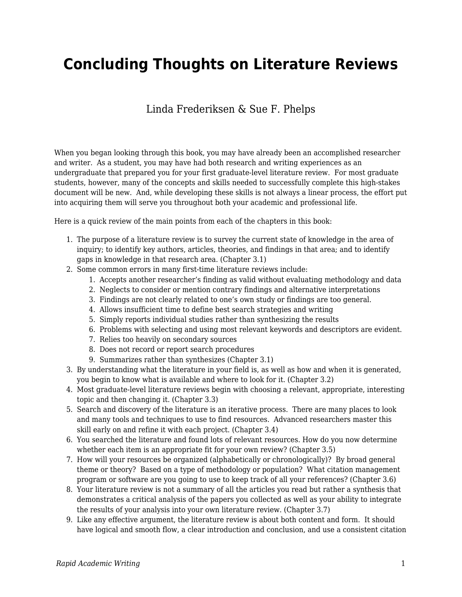# **Concluding Thoughts on Literature Reviews**

### Linda Frederiksen & Sue F. Phelps

When you began looking through this book, you may have already been an accomplished researcher and writer. As a student, you may have had both research and writing experiences as an undergraduate that prepared you for your first graduate-level literature review. For most graduate students, however, many of the concepts and skills needed to successfully complete this high-stakes document will be new. And, while developing these skills is not always a linear process, the effort put into acquiring them will serve you throughout both your academic and professional life.

Here is a quick review of the main points from each of the chapters in this book:

- 1. The purpose of a literature review is to survey the current state of knowledge in the area of inquiry; to identify key authors, articles, theories, and findings in that area; and to identify gaps in knowledge in that research area. (Chapter 3.1)
- 2. Some common errors in many first-time literature reviews include:
	- 1. Accepts another researcher's finding as valid without evaluating methodology and data
	- 2. Neglects to consider or mention contrary findings and alternative interpretations
	- 3. Findings are not clearly related to one's own study or findings are too general.
	- 4. Allows insufficient time to define best search strategies and writing
	- 5. Simply reports individual studies rather than synthesizing the results
	- 6. Problems with selecting and using most relevant keywords and descriptors are evident.
	- 7. Relies too heavily on secondary sources
	- 8. Does not record or report search procedures
	- 9. Summarizes rather than synthesizes (Chapter 3.1)
- 3. By understanding what the literature in your field is, as well as how and when it is generated, you begin to know what is available and where to look for it. (Chapter 3.2)
- 4. Most graduate-level literature reviews begin with choosing a relevant, appropriate, interesting topic and then changing it. (Chapter 3.3)
- 5. Search and discovery of the literature is an iterative process. There are many places to look and many tools and techniques to use to find resources. Advanced researchers master this skill early on and refine it with each project. (Chapter 3.4)
- 6. You searched the literature and found lots of relevant resources. How do you now determine whether each item is an appropriate fit for your own review? (Chapter 3.5)
- 7. How will your resources be organized (alphabetically or chronologically)? By broad general theme or theory? Based on a type of methodology or population? What citation management program or software are you going to use to keep track of all your references? (Chapter 3.6)
- 8. Your literature review is not a summary of all the articles you read but rather a synthesis that demonstrates a critical analysis of the papers you collected as well as your ability to integrate the results of your analysis into your own literature review. (Chapter 3.7)
- 9. Like any effective argument, the literature review is about both content and form. It should have logical and smooth flow, a clear introduction and conclusion, and use a consistent citation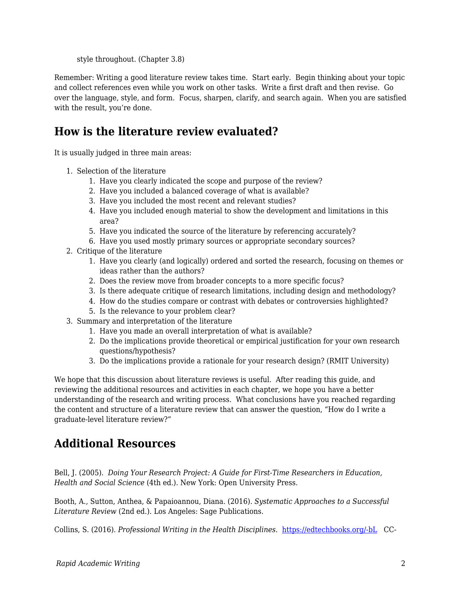style throughout. (Chapter 3.8)

Remember: Writing a good literature review takes time. Start early. Begin thinking about your topic and collect references even while you work on other tasks. Write a first draft and then revise. Go over the language, style, and form. Focus, sharpen, clarify, and search again. When you are satisfied with the result, you're done.

# **How is the literature review evaluated?**

It is usually judged in three main areas:

- 1. Selection of the literature
	- 1. Have you clearly indicated the scope and purpose of the review?
	- 2. Have you included a balanced coverage of what is available?
	- 3. Have you included the most recent and relevant studies?
	- 4. Have you included enough material to show the development and limitations in this area?
	- 5. Have you indicated the source of the literature by referencing accurately?
	- 6. Have you used mostly primary sources or appropriate secondary sources?
- 2. Critique of the literature
	- 1. Have you clearly (and logically) ordered and sorted the research, focusing on themes or ideas rather than the authors?
	- 2. Does the review move from broader concepts to a more specific focus?
	- 3. Is there adequate critique of research limitations, including design and methodology?
	- 4. How do the studies compare or contrast with debates or controversies highlighted?
	- 5. Is the relevance to your problem clear?
- 3. Summary and interpretation of the literature
	- 1. Have you made an overall interpretation of what is available?
	- 2. Do the implications provide theoretical or empirical justification for your own research questions/hypothesis?
	- 3. Do the implications provide a rationale for your research design? (RMIT University)

We hope that this discussion about literature reviews is useful. After reading this guide, and reviewing the additional resources and activities in each chapter, we hope you have a better understanding of the research and writing process. What conclusions have you reached regarding the content and structure of a literature review that can answer the question, "How do I write a graduate-level literature review?"

# **Additional Resources**

Bell, J. (2005). *Doing Your Research Project: A Guide for First-Time Researchers in Education, Health and Social Science* (4th ed.). New York: Open University Press.

Booth, A., Sutton, Anthea, & Papaioannou, Diana. (2016). *Systematic Approaches to a Successful Literature Review* (2nd ed.). Los Angeles: Sage Publications.

Collins, S. (2016). *Professional Writing in the Health Disciplines*. [https://edtechbooks.org/-bL](http://epub-fhd.athabascau.ca/professionalwriting/) CC-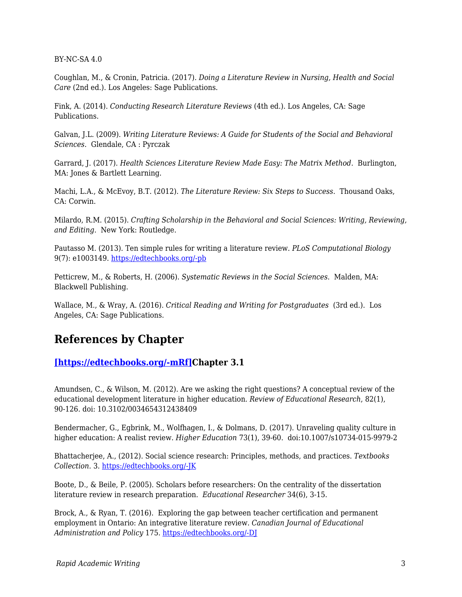BY-NC-SA 4.0

Coughlan, M., & Cronin, Patricia. (2017). *Doing a Literature Review in Nursing, Health and Social Care* (2nd ed.). Los Angeles: Sage Publications.

Fink, A. (2014). *Conducting Research Literature Reviews* (4th ed.). Los Angeles, CA: Sage Publications.

Galvan, J.L. (2009). *Writing Literature Reviews: A Guide for Students of the Social and Behavioral Sciences*. Glendale, CA : Pyrczak

Garrard, J. (2017). *Health Sciences Literature Review Made Easy: The Matrix Method*. Burlington, MA: Jones & Bartlett Learning.

Machi, L.A., & McEvoy, B.T. (2012). *The Literature Review: Six Steps to Success*. Thousand Oaks, CA: Corwin.

Milardo, R.M. (2015). *Crafting Scholarship in the Behavioral and Social Sciences: Writing, Reviewing, and Editing*. New York: Routledge.

Pautasso M. (2013). Ten simple rules for writing a literature review. *PLoS Computational Biology* 9(7): e1003149. [https://edtechbooks.org/-pb](https://doi.org/10.1371/journal.pcbi.1003149)

Petticrew, M., & Roberts, H. (2006). *Systematic Reviews in the Social Sciences*. Malden, MA: Blackwell Publishing.

Wallace, M., & Wray, A. (2016). *Critical Reading and Writing for Postgraduates* (3rd ed.). Los Angeles, CA: Sage Publications.

## **References by Chapter**

### **[\[https://edtechbooks.org/-mRf\]C](https://edtechbooks.org/rapidwriting/)hapter 3.1**

Amundsen, C., & Wilson, M. (2012). Are we asking the right questions? A conceptual review of the educational development literature in higher education. *Review of Educational Research*, 82(1), 90-126. doi: 10.3102/0034654312438409

Bendermacher, G., Egbrink, M., Wolfhagen, I., & Dolmans, D. (2017). Unraveling quality culture in higher education: A realist review. *Higher Education* 73(1), 39-60. doi:10.1007/s10734-015-9979-2

Bhattacherjee, A., (2012). Social science research: Principles, methods, and practices. *Textbooks Collection*. 3. [https://edtechbooks.org/-JK](http://scholarcommons.usf.edu/oa_textbooks/3)

Boote, D., & Beile, P. (2005). Scholars before researchers: On the centrality of the dissertation literature review in research preparation. *Educational Researcher* 34(6), 3-15.

Brock, A., & Ryan, T. (2016). Exploring the gap between teacher certification and permanent employment in Ontario: An integrative literature review. *Canadian Journal of Educational Administration and Policy* 175. [https://edtechbooks.org/-DJ](http://files.eric.ed.gov/fulltext/EJ1086899.pdf)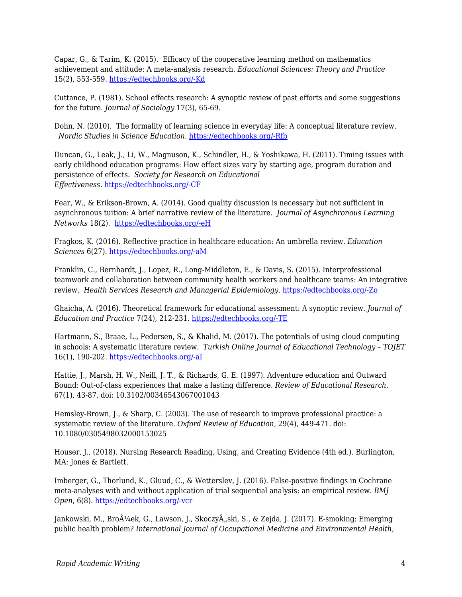Capar, G., & Tarim, K. (2015). Efficacy of the cooperative learning method on mathematics achievement and attitude: A meta-analysis research. *Educational Sciences: Theory and Practice* 15(2), 553-559. [https://edtechbooks.org/-Kd](http://files.eric.ed.gov/fulltext/EJ1060189.pdf)

Cuttance, P. (1981). School effects research: A synoptic review of past efforts and some suggestions for the future. *Journal of Sociology* 17(3), 65-69.

Dohn, N. (2010). The formality of learning science in everyday life: A conceptual literature review. *Nordic Studies in Science Education*. [https://edtechbooks.org/-Rfb](https://www.journals.uio.no/index.php/nordina/article/view/250/303)

Duncan, G., Leak, J., Li, W., Magnuson, K., Schindler, H., & Yoshikawa, H. (2011). Timing issues with early childhood education programs: How effect sizes vary by starting age, program duration and persistence of effects. *Society for Research on Educational Effectiveness*. [https://edtechbooks.org/-CF](https://eric.ed.gov/?q=%22a+meta-analysis%22&ft=on&id=ED519340)

Fear, W., & Erikson-Brown, A. (2014). Good quality discussion is necessary but not sufficient in asynchronous tuition: A brief narrative review of the literature. *Journal of Asynchronous Learning Networks* 18(2). [https://edtechbooks.org/-eH](http://files.eric.ed.gov/fulltext/EJ1036265.pdf)

Fragkos, K. (2016). Reflective practice in healthcare education: An umbrella review. *Education Sciences* 6(27). [https://edtechbooks.org/-aM](http://files.eric.ed.gov/fulltext/EJ1116801.pdf)

Franklin, C., Bernhardt, J., Lopez, R., Long-Middleton, E., & Davis, S. (2015). Interprofessional teamwork and collaboration between community health workers and healthcare teams: An integrative review. *Health Services Research and Managerial Epidemiology*. [https://edtechbooks.org/-Zo](https://www.ncbi.nlm.nih.gov/pubmed/28462254)

Ghaicha, A. (2016). Theoretical framework for educational assessment: A synoptic review. *Journal of Education and Practice* 7(24), 212-231. [https://edtechbooks.org/-TE](http://files.eric.ed.gov/fulltext/EJ1112912.pdf)

Hartmann, S., Braae, L., Pedersen, S., & Khalid, M. (2017). The potentials of using cloud computing in schools: A systematic literature review. *Turkish Online Journal of Educational Technology – TOJET* 16(1), 190-202. [https://edtechbooks.org/-aI](http://files.eric.ed.gov/fulltext/EJ1124903.pdf)

Hattie, J., Marsh, H. W., Neill, J. T., & Richards, G. E. (1997). Adventure education and Outward Bound: Out-of-class experiences that make a lasting difference. *Review of Educational Research*, 67(1), 43-87. doi: 10.3102/00346543067001043

Hemsley-Brown, J., & Sharp, C. (2003). The use of research to improve professional practice: a systematic review of the literature. *Oxford Review of Education*, 29(4), 449-471. doi: 10.1080/0305498032000153025

Houser, J., (2018). Nursing Research Reading, Using, and Creating Evidence (4th ed.). Burlington, MA: Jones & Bartlett.

Imberger, G., Thorlund, K., Gluud, C., & Wetterslev, J. (2016). False-positive findings in Cochrane meta-analyses with and without application of trial sequential analysis: an empirical review. *BMJ Open*, 6(8). [https://edtechbooks.org/-vcr](https://www.ncbi.nlm.nih.gov/pubmed/27519923)

Jankowski, M., Brożek, G., Lawson, J., SkoczyÅ, ski, S., & Zejda, J. (2017). E-smoking: Emerging public health problem? *International Journal of Occupational Medicine and Environmental Health*,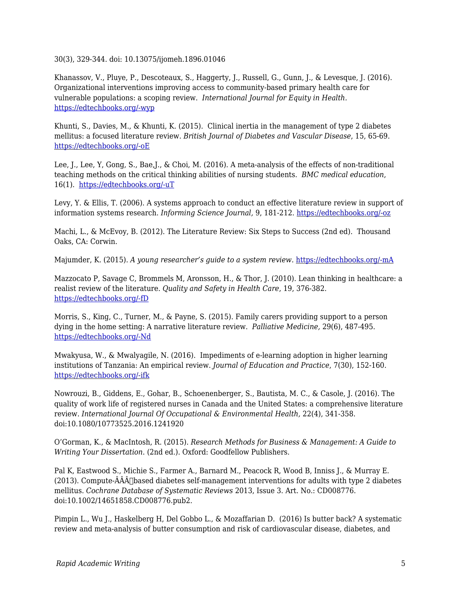30(3), 329-344. doi: 10.13075/ijomeh.1896.01046

Khanassov, V., Pluye, P., Descoteaux, S., Haggerty, J., Russell, G., Gunn, J., & Levesque, J. (2016). Organizational interventions improving access to community-based primary health care for vulnerable populations: a scoping review. *International Journal for Equity in Health.* [https://edtechbooks.org/-wyp](https://www.ncbi.nlm.nih.gov/pubmed/27724952)

Khunti, S., Davies, M., & Khunti, K. (2015). Clinical inertia in the management of type 2 diabetes mellitus: a focused literature review. *British Journal of Diabetes and Vascular Disease*, 15, 65-69. [https://edtechbooks.org/-oE](http://www.bjd-abcd.com/index.php/bjd/article/view/69)

Lee, J., Lee, Y, Gong, S., Bae,J., & Choi, M. (2016). A meta-analysis of the effects of non-traditional teaching methods on the critical thinking abilities of nursing students. *BMC medical education*, 16(1). [https://edtechbooks.org/-uT](https://www.ncbi.nlm.nih.gov/pubmed/27633506)

Levy, Y. & Ellis, T. (2006). A systems approach to conduct an effective literature review in support of information systems research. *Informing Science Journal,* 9, 181-212. [https://edtechbooks.org/-oz](http://www.inform.nu/Articles/Vol9/V9p181-212Levy99.pdf)

Machi, L., & McEvoy, B. (2012). The Literature Review: Six Steps to Success (2nd ed). Thousand Oaks, CA: Corwin.

Majumder, K. (2015). *A young researcher's guide to a system review*. [https://edtechbooks.org/-mA](http://www.editage.com/insights/a-young-researchers-guide-to-a-systematic-review)

Mazzocato P, Savage C, Brommels M, Aronsson, H., & Thor, J. (2010). Lean thinking in healthcare: a realist review of the literature. *Quality and Safety in Health Care*, 19, 376-382. [https://edtechbooks.org/-fD](http://qualitysafety.bmj.com/content/19/5/376.long)

Morris, S., King, C., Turner, M., & Payne, S. (2015). Family carers providing support to a person dying in the home setting: A narrative literature review. *Palliative Medicine,* 29(6), 487-495. [https://edtechbooks.org/-Nd](https://www.ncbi.nlm.nih.gov/pmc/articles/PMC4436280/)

Mwakyusa, W., & Mwalyagile, N. (2016). Impediments of e-learning adoption in higher learning institutions of Tanzania: An empirical review. *Journal of Education and Practice*, 7(30), 152-160. [https://edtechbooks.org/-ifk](http://files.eric.ed.gov/fulltext/EJ1118921.pdf)

Nowrouzi, B., Giddens, E., Gohar, B., Schoenenberger, S., Bautista, M. C., & Casole, J. (2016). The quality of work life of registered nurses in Canada and the United States: a comprehensive literature review. *International Journal Of Occupational & Environmental Health,* 22(4), 341-358. doi:10.1080/10773525.2016.1241920

O'Gorman, K., & MacIntosh, R. (2015). *Research Methods for Business & Management: A Guide to Writing Your Dissertation*. (2nd ed.). Oxford: Goodfellow Publishers.

Pal K, Eastwood S., Michie S., Farmer A., Barnard M., Peacock R, Wood B, Inniss J., & Murray E.  $(2013)$ . Compute-ÂÂÂ $\Box$ based diabetes self-management interventions for adults with type 2 diabetes mellitus. *Cochrane Database of Systematic Reviews* 2013, Issue 3. Art. No.: CD008776. doi:10.1002/14651858.CD008776.pub2.

Pimpin L., Wu J., Haskelberg H, Del Gobbo L., & Mozaffarian D. (2016) Is butter back? A systematic review and meta-analysis of butter consumption and risk of cardiovascular disease, diabetes, and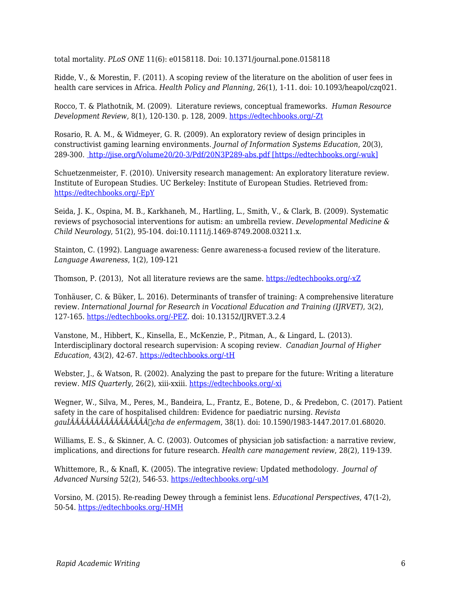total mortality. *PLoS ONE* 11(6): e0158118. Doi: 10.1371/journal.pone.0158118

Ridde, V., & Morestin, F. (2011). A scoping review of the literature on the abolition of user fees in health care services in Africa. *Health Policy and Planning,* 26(1), 1-11. doi: 10.1093/heapol/czq021.

Rocco, T. & Plathotnik, M. (2009). Literature reviews, conceptual frameworks. *Human Resource Development Review,* 8(1), 120-130. p. 128, 2009. [https://edtechbooks.org/-Zt](http://citeseerx.ist.psu.edu/viewdoc/download?doi=10.1.1.1023.5634&rep=rep1&type=pdf)

Rosario, R. A. M., & Widmeyer, G. R. (2009). An exploratory review of design principles in constructivist gaming learning environments. *Journal of Information Systems Education*, 20(3), 289-300. [http://jise.org/Volume20/20-3/Pdf/20N3P289-abs.pdf \[https://edtechbooks.org/-wuk\]](http://jise.org/Volume20/20-3/Pdf/20N3P289-abs.pdf)

Schuetzenmeister, F. (2010). University research management: An exploratory literature review. Institute of European Studies. UC Berkeley: Institute of European Studies. Retrieved from: [https://edtechbooks.org/-EpY](http://escholarship.org/uc/item/77p3j2hr)

Seida, J. K., Ospina, M. B., Karkhaneh, M., Hartling, L., Smith, V., & Clark, B. (2009). Systematic reviews of psychosocial interventions for autism: an umbrella review. *Developmental Medicine & Child Neurology*, 51(2), 95-104. doi:10.1111/j.1469-8749.2008.03211.x.

Stainton, C. (1992). Language awareness: Genre awareness-a focused review of the literature. *Language Awareness*, 1(2), 109-121

Thomson, P. (2013), Not all literature reviews are the same. [https://edtechbooks.org/-xZ](https://patthomson.net/2013/05/23/not-all-literature-reviews-are-the-same/)

Tonhäuser, C. & Büker, L. 2016). Determinants of transfer of training: A comprehensive literature review. *International Journal for Research in Vocational Education and Training (IJRVET)*, 3(2), 127-165. [https://edtechbooks.org/-PEZ](http://files.eric.ed.gov/fulltext/ED568698.pdf). doi: 10.13152/IJRVET.3.2.4

Vanstone, M., Hibbert, K., Kinsella, E., McKenzie, P., Pitman, A., & Lingard, L. (2013). Interdisciplinary doctoral research supervision: A scoping review. *Canadian Journal of Higher Education*, 43(2), 42-67. [https://edtechbooks.org/-tH](http://files.eric.ed.gov/fulltext/EJ1013587.pdf)

Webster, J., & Watson, R. (2002). Analyzing the past to prepare for the future: Writing a literature review. *MIS Quarterly*, 26(2), xiii-xxiii. [https://edtechbooks.org/-xi](https://web.njit.edu/~egan/Writing_A_Literature_Review.pdf)

Wegner, W., Silva, M., Peres, M., Bandeira, L., Frantz, E., Botene, D., & Predebon, C. (2017). Patient safety in the care of hospitalised children: Evidence for paediatric nursing. *Revista gauÌÂÂÂÂÂÂÂÂÂÂÂÂÂÂÂÂcha de enfermagem*, 38(1). doi: 10.1590/1983-1447.2017.01.68020.

Williams, E. S., & Skinner, A. C. (2003). Outcomes of physician job satisfaction: a narrative review, implications, and directions for future research. *Health care management review*, 28(2), 119-139.

Whittemore, R., & Knafl, K. (2005). The integrative review: Updated methodology. *Journal of Advanced Nursing* 52(2), 546-53. [https://edtechbooks.org/-uM](http://onlinelibrary.wiley.com/doi/10.1111/j.1365-2648.2005.03621.x/epdf)

Vorsino, M. (2015). Re-reading Dewey through a feminist lens. *Educational Perspectives*, 47(1-2), 50-54. [https://edtechbooks.org/-HMH](http://files.eric.ed.gov/fulltext/EJ1088345.pdf)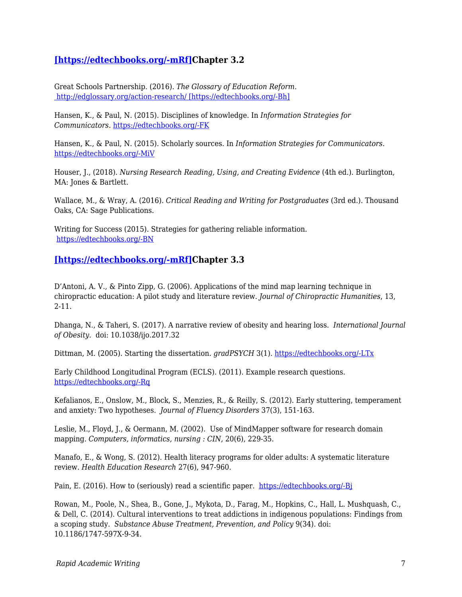### **[\[https://edtechbooks.org/-mRf\]C](https://edtechbooks.org/rapidwriting/)hapter 3.2**

Great Schools Partnership. (2016). *The Glossary of Education Reform*.  [http://edglossary.org/action-research/ \[https://edtechbooks.org/-Bh\]](http://edglossary.org/action-research/)

Hansen, K., & Paul, N. (2015). Disciplines of knowledge. In *Information Strategies for Communicators.* [https://edtechbooks.org/-FK](http://open.lib.umn.edu/infostrategies/chapter/6-7-disciplines-of-knowledge/)

Hansen, K., & Paul, N. (2015). Scholarly sources. In *Information Strategies for Communicators.* [https://edtechbooks.org/-MiV](http://open.lib.umn.edu/infostrategies/chapter/6-4-scholarly-sources/)

Houser, J., (2018). *Nursing Research Reading, Using, and Creating Evidence* (4th ed.). Burlington, MA: Jones & Bartlett.

Wallace, M., & Wray, A. (2016). *Critical Reading and Writing for Postgraduates* (3rd ed.). Thousand Oaks, CA: Sage Publications.

Writing for Success (2015). Strategies for gathering reliable information. [https://edtechbooks.org/-BN](http://open.lib.umn.edu/writingforsuccess/chapter/11-4-strategies-for-gathering-reliable-information/)

**[\[https://edtechbooks.org/-mRf\]C](https://edtechbooks.org/rapidwriting/)hapter 3.3**

D'Antoni, A. V., & Pinto Zipp, G. (2006). Applications of the mind map learning technique in chiropractic education: A pilot study and literature review. *Journal of Chiropractic Humanities*, 13, 2-11.

Dhanga, N., & Taheri, S. (2017). A narrative review of obesity and hearing loss. *International Journal of Obesity*. doi: 10.1038/ijo.2017.32

Dittman, M. (2005). Starting the dissertation. *gradPSYCH* 3(1). [https://edtechbooks.org/-LTx](http://www.apa.org/gradpsych/2005/01/starting.aspx)

Early Childhood Longitudinal Program (ECLS). (2011). Example research questions. [https://edtechbooks.org/-Rq](https://nces.ed.gov/ecls/researchquestions2011.asp)

Kefalianos, E., Onslow, M., Block, S., Menzies, R., & Reilly, S. (2012). Early stuttering, temperament and anxiety: Two hypotheses. *Journal of Fluency Disorders* 37(3), 151-163.

Leslie, M., Floyd, J., & Oermann, M. (2002). Use of MindMapper software for research domain mapping. *Computers, informatics, nursing : CIN,* 20(6), 229-35.

Manafo, E., & Wong, S. (2012). Health literacy programs for older adults: A systematic literature review. *Health Education Research* 27(6), 947-960.

Pain, E. (2016). How to (seriously) read a scientific paper. [https://edtechbooks.org/-Bj](http://www.sciencemag.org/careers/2016/03/how-seriously-read-scientific-paper)

Rowan, M., Poole, N., Shea, B., Gone, J., Mykota, D., Farag, M., Hopkins, C., Hall, L. Mushquash, C., & Dell, C. (2014). Cultural interventions to treat addictions in indigenous populations: Findings from a scoping study. *Substance Abuse Treatment, Prevention, and Policy* 9(34). doi: 10.1186/1747-597X-9-34.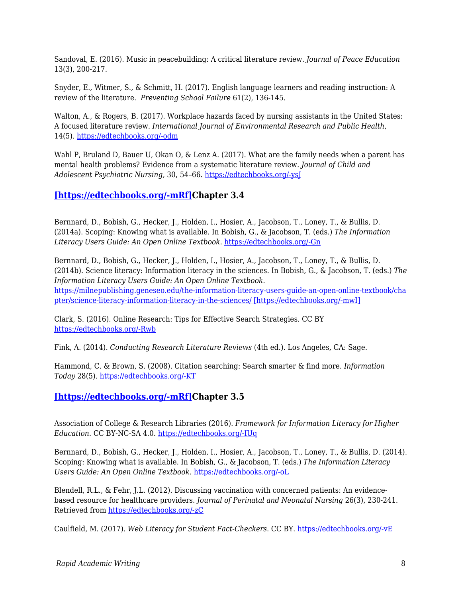Sandoval, E. (2016). Music in peacebuilding: A critical literature review. *Journal of Peace Education* 13(3), 200-217.

Snyder, E., Witmer, S., & Schmitt, H. (2017). English language learners and reading instruction: A review of the literature. *Preventing School Failure* 61(2), 136-145.

Walton, A., & Rogers, B. (2017). Workplace hazards faced by nursing assistants in the United States: A focused literature review. *International Journal of Environmental Research and Public Health*, 14(5). [https://edtechbooks.org/-odm](https://www.ncbi.nlm.nih.gov/pubmed/28534859)

Wahl P, Bruland D, Bauer U, Okan O, & Lenz A. (2017). What are the family needs when a parent has mental health problems? Evidence from a systematic literature review. *Journal of Child and Adolescent Psychiatric Nursing,* 30, 54–66. [https://edtechbooks.org/-ysJ](https://doi.org/10.1111/jcap.12171)

### **[\[https://edtechbooks.org/-mRf\]C](https://edtechbooks.org/rapidwriting/)hapter 3.4**

Bernnard, D., Bobish, G., Hecker, J., Holden, I., Hosier, A., Jacobson, T., Loney, T., & Bullis, D. (2014a). Scoping: Knowing what is available. In Bobish, G., & Jacobson, T. (eds.) *The Information Literacy Users Guide: An Open Online Textbook*. [https://edtechbooks.org/-Gn](https://milnepublishing.geneseo.edu/the-information-literacy-users-guide-an-open-online-textbook/chapter/gather-finding-what-you-need/)

Bernnard, D., Bobish, G., Hecker, J., Holden, I., Hosier, A., Jacobson, T., Loney, T., & Bullis, D. (2014b). Science literacy: Information literacy in the sciences. In Bobish, G., & Jacobson, T. (eds.) *The Information Literacy Users Guide: An Open Online Textbook*. [https://milnepublishing.geneseo.edu/the-information-literacy-users-guide-an-open-online-textbook/cha](https://milnepublishing.geneseo.edu/the-information-literacy-users-guide-an-open-online-textbook/chapter/science-literacy-information-literacy-in-the-sciences/) [pter/science-literacy-information-literacy-in-the-sciences/ \[https://edtechbooks.org/-mwI\]](https://milnepublishing.geneseo.edu/the-information-literacy-users-guide-an-open-online-textbook/chapter/science-literacy-information-literacy-in-the-sciences/)

Clark, S. (2016). Online Research: Tips for Effective Search Strategies. CC BY [https://edtechbooks.org/-Rwb](https://www.youtube.com/watch?v=LTJygQwYV84)

Fink, A. (2014). *Conducting Research Literature Reviews* (4th ed.). Los Angeles, CA: Sage.

Hammond, C. & Brown, S. (2008). Citation searching: Search smarter & find more. *Information Today* 28(5). [https://edtechbooks.org/-KT](http://www.infotoday.com/cilmag/may08/Hammond_Brown.shtml)

#### **[\[https://edtechbooks.org/-mRf\]C](https://edtechbooks.org/rapidwriting/)hapter 3.5**

Association of College & Research Libraries (2016). *Framework for Information Literacy for Higher Education*. CC BY-NC-SA 4.0. [https://edtechbooks.org/-IUq](http://www.ala.org/acrl/standards/ilframework)

Bernnard, D., Bobish, G., Hecker, J., Holden, I., Hosier, A., Jacobson, T., Loney, T., & Bullis, D. (2014). Scoping: Knowing what is available. In Bobish, G., & Jacobson, T. (eds.) *The Information Literacy Users Guide: An Open Online Textbook*. [https://edtechbooks.org/-oL](https://milnepublishing.geneseo.edu/the-information-literacy-users-guide-an-open-online-textbook/chapter/evaluate-assessing-your-research-process-and-findings/)

Blendell, R.L., & Fehr, J.L. (2012). Discussing vaccination with concerned patients: An evidencebased resource for healthcare providers. *Journal of Perinatal and Neonatal Nursing* 26(3), 230-241. Retrieved from [https://edtechbooks.org/-zC](http://www.nursingcenter.com/evidencebasedpracticenetwork/home/journalarticle.aspx?Article_ID=1405702)

Caulfield, M. (2017). *Web Literacy for Student Fact-Checkers*. CC BY. [https://edtechbooks.org/-vE](https://webliteracy.pressbooks.com/)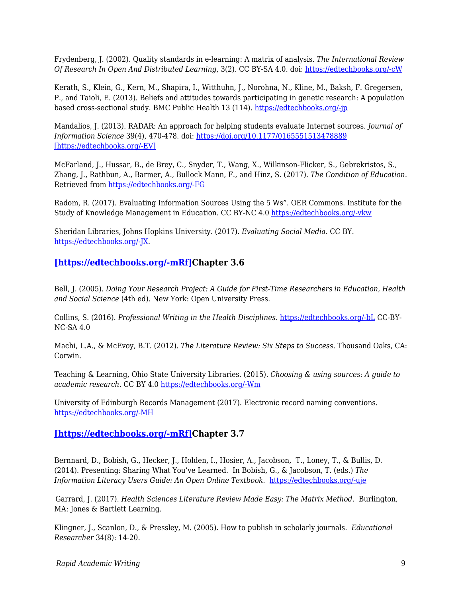Frydenberg, J. (2002). Quality standards in e-learning: A matrix of analysis. *The International Review Of Research In Open And Distributed Learning*, 3(2). CC BY-SA 4.0. doi: [https://edtechbooks.org/-cW](http://dx.doi.org/10.19173/irrodl.v3i2.109)

Kerath, S., Klein, G., Kern, M., Shapira, I., Witthuhn, J., Norohna, N., Kline, M., Baksh, F. Gregersen, P., and Taioli, E. (2013). Beliefs and attitudes towards participating in genetic research: A population based cross-sectional study. BMC Public Health 13 (114). [https://edtechbooks.org/-jp](https://doi.org/10.1186/1471-2458-13-114)

Mandalios, J. (2013). RADAR: An approach for helping students evaluate Internet sources. *Journal of Information Science* 39(4), 470-478. doi:<https://doi.org/10.1177/0165551513478889> [\[https://edtechbooks.org/-EV\]](https://doi.org/10.1177/0165551513478889)

McFarland, J., Hussar, B., de Brey, C., Snyder, T., Wang, X., Wilkinson-Flicker, S., Gebrekristos, S., Zhang, J., Rathbun, A., Barmer, A., Bullock Mann, F., and Hinz, S. (2017). *The Condition of Education*. Retrieved from [https://edtechbooks.org/-FG](https://nces.ed.gov/pubsearch/pubsinfo.asp?pubid=201714)

Radom, R. (2017). Evaluating Information Sources Using the 5 Ws". OER Commons. Institute for the Study of Knowledge Management in Education. CC BY-NC 4.0 [https://edtechbooks.org/-vkw](https://www.oercommons.org/authoring/19364-evaluating-information-sources-using-the-5-ws)

Sheridan Libraries, Johns Hopkins University. (2017). *Evaluating Social Media*. CC BY. [https://edtechbooks.org/-JX](http://guides.library.jhu.edu/c.php?g=202581&p=1335031).

#### **[\[https://edtechbooks.org/-mRf\]C](https://edtechbooks.org/rapidwriting/)hapter 3.6**

Bell, J. (2005). *Doing Your Research Project: A Guide for First-Time Researchers in Education, Health and Social Science* (4th ed). New York: Open University Press.

Collins, S. (2016). *Professional Writing in the Health Disciplines*. [https://edtechbooks.org/-bL](http://epub-fhd.athabascau.ca/professionalwriting/) CC-BY-NC-SA 4.0

Machi, L.A., & McEvoy, B.T. (2012). *The Literature Review: Six Steps to Success*. Thousand Oaks, CA: Corwin.

Teaching & Learning, Ohio State University Libraries. (2015). *Choosing & using sources: A guide to academic research*. CC BY 4.0 [https://edtechbooks.org/-Wm](https://osu.pb.unizin.org/choosingsources/)

University of Edinburgh Records Management (2017). Electronic record naming conventions. [https://edtechbooks.org/-MH](http://www.ed.ac.uk/records-management/records-management/staff-guidance/electronic-records/naming-conventions)

#### **[\[https://edtechbooks.org/-mRf\]C](https://edtechbooks.org/rapidwriting/)hapter 3.7**

Bernnard, D., Bobish, G., Hecker, J., Holden, I., Hosier, A., Jacobson, T., Loney, T., & Bullis, D. (2014). Presenting: Sharing What You've Learned. In Bobish, G., & Jacobson, T. (eds.) *The Information Literacy Users Guide: An Open Online Textbook*. [https://edtechbooks.org/-uje](https://milnepublishing.geneseo.edu/the-information-literacy-users-guide-an-open-online-textbook/chapter/present-sharing-what-youve-learned/)

Garrard, J. (2017). *Health Sciences Literature Review Made Easy: The Matrix Method*. Burlington, MA: Jones & Bartlett Learning.

Klingner, J., Scanlon, D., & Pressley, M. (2005). How to publish in scholarly journals. *Educational Researcher* 34(8): 14-20.